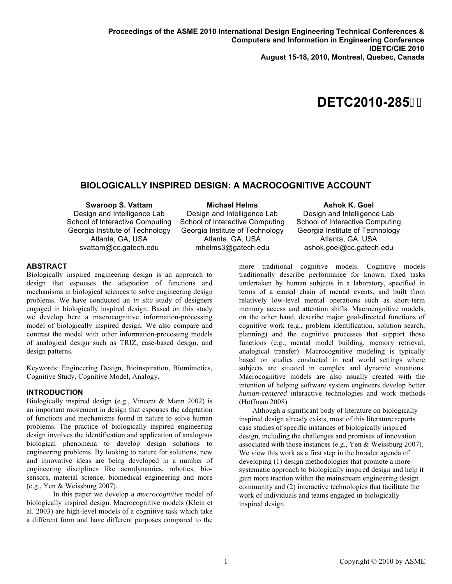# **August 15-18, 2010-285 and DETC2010-285**  $^*$  **+**

# **BIOLOGICALLY INSPIRED DESIGN: A MACROCOGNITIVE ACCOUNT**

**Swaroop S. Vattam** Design and Intelligence Lab School of Interactive Computing Georgia Institute of Technology Atlanta, GA, USA svattam@cc.gatech.edu

**Michael Helms** Design and Intelligence Lab School of Interactive Computing Georgia Institute of Technology Atlanta, GA, USA mhelms3@gatech.edu

**Ashok K. Goel** Design and Intelligence Lab School of Interactive Computing Georgia Institute of Technology Atlanta, GA, USA ashok.goel@cc.gatech.edu

## **ABSTRACT**

Biologically inspired engineering design is an approach to design that espouses the adaptation of functions and mechanisms in biological sciences to solve engineering design problems. We have conducted an *in situ* study of designers engaged in biologically inspired design. Based on this study we develop here a macrocognitive information-processing model of biologically inspired design. We also compare and contrast the model with other information-processing models of analogical design such as TRIZ, case-based design, and design patterns.

Keywords: Engineering Design, Bioinspiration, Biomimetics, Cognitive Study, Cognitive Model, Analogy.

## **INTRODUCTION**

Biologically inspired design (e.g., Vincent & Mann 2002) is an important movement in design that espouses the adaptation of functions and mechanisms found in nature to solve human problems. The practice of biologically inspired engineering design involves the identification and application of analogous biological phenomena to develop design solutions to engineering problems. By looking to nature for solutions, new and innovative ideas are being developed in a number of engineering disciplines like aerodynamics, robotics, biosensors, material science, biomedical engineering and more (e.g., Yen & Weissburg 2007).

In this paper we develop a *macrocognitive* model of biologically inspired design. Macrocognitive models (Klein et al. 2003) are high-level models of a cognitive task which take a different form and have different purposes compared to the

more traditional cognitive models. Cognitive models traditionally describe performance for known, fixed tasks undertaken by human subjects in a laboratory, specified in terms of a causal chain of mental events, and built from relatively low-level mental operations such as short-term memory access and attention shifts. Macrocognitive models, on the other hand, describe major goal-directed functions of cognitive work (e.g., problem identification, solution search, planning) and the cognitive processes that support those functions (e.g., mental model building, memory retrieval, analogical transfer). Macrocognitive modeling is typically based on studies conducted in real world settings where subjects are situated in complex and dynamic situations. Macrocognitive models are also usually created with the intention of helping software system engineers develop better *human-centered* interactive technologies and work methods (Hoffman 2008).

Although a significant body of literature on biologically inspired design already exists, most of this literature reports case studies of specific instances of biologically inspired design, including the challenges and promises of innovation associated with those instances (e.g., Yen & Weissburg 2007). We view this work as a first step in the broader agenda of developing (1) design methodologies that promote a more systematic approach to biologically inspired design and help it gain more traction within the mainstream engineering design community and (2) interactive technologies that facilitate the work of individuals and teams engaged in biologically inspired design.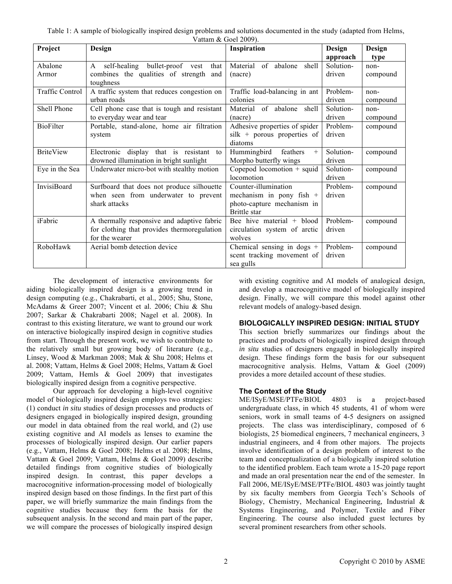Table 1: A sample of biologically inspired design problems and solutions documented in the study (adapted from Helms, Vattam & Goel 2009).

| Project                | Design                                      | Inspiration                    | <b>Design</b> | Design   |
|------------------------|---------------------------------------------|--------------------------------|---------------|----------|
|                        |                                             |                                | approach      | type     |
| Abalone                | A self-healing bullet-proof vest<br>that    | Material of abalone shell      | Solution-     | non-     |
| Armor                  | combines the qualities of strength and      | (nacre)                        | driven        | compound |
|                        | toughness                                   |                                |               |          |
| <b>Traffic Control</b> | A traffic system that reduces congestion on | Traffic load-balancing in ant  | Problem-      | non-     |
|                        | urban roads                                 | colonies                       | driven        | compound |
| Shell Phone            | Cell phone case that is tough and resistant | Material of abalone shell      | Solution-     | non-     |
|                        | to everyday wear and tear                   | (nacre)                        | driven        | compound |
| BioFilter              | Portable, stand-alone, home air filtration  | Adhesive properties of spider  | Problem-      | compound |
|                        | system                                      | silk + porous properties of    | driven        |          |
|                        |                                             | diatoms                        |               |          |
| <b>BriteView</b>       | Electronic display that is resistant<br>to  | Hummingbird<br>feathers<br>$+$ | Solution-     | compound |
|                        | drowned illumination in bright sunlight     | Morpho butterfly wings         | driven        |          |
| Eye in the Sea         | Underwater micro-bot with stealthy motion   | Copepod locomotion + squid     | Solution-     | compound |
|                        |                                             | locomotion                     | driven        |          |
| InvisiBoard            | Surfboard that does not produce silhouette  | Counter-illumination           | Problem-      | compound |
|                        | when seen from underwater to prevent        | mechanism in pony fish +       | driven        |          |
|                        | shark attacks                               | photo-capture mechanism in     |               |          |
|                        |                                             | Brittle star                   |               |          |
| iFabric                | A thermally responsive and adaptive fabric  | Bee hive material + blood      | Problem-      | compound |
|                        | for clothing that provides thermoregulation | circulation system of arctic   | driven        |          |
|                        | for the wearer                              | wolves                         |               |          |
| RoboHawk               | Aerial bomb detection device                | Chemical sensing in dogs $+$   | Problem-      | compound |
|                        |                                             | scent tracking movement of     | driven        |          |
|                        |                                             | sea gulls                      |               |          |

The development of interactive environments for aiding biologically inspired design is a growing trend in design computing (e.g., Chakrabarti, et al., 2005; Shu, Stone, McAdams & Greer 2007; Vincent et al. 2006; Chiu & Shu 2007; Sarkar & Chakrabarti 2008; Nagel et al. 2008). In contrast to this existing literature, we want to ground our work on interactive biologically inspired design in cognitive studies from start. Through the present work, we wish to contribute to the relatively small but growing body of literature (e.g., Linsey, Wood & Markman 2008; Mak & Shu 2008; Helms et al. 2008; Vattam, Helms & Goel 2008; Helms, Vattam & Goel 2009; Vattam, Hemls & Goel 2009) that investigates biologically inspired design from a cognitive perspective.

Our approach for developing a high-level cognitive model of biologically inspired design employs two strategies: (1) conduct *in situ* studies of design processes and products of designers engaged in biologically inspired design, grounding our model in data obtained from the real world, and (2) use existing cognitive and AI models as lenses to examine the processes of biologically inspired design. Our earlier papers (e.g., Vattam, Helms & Goel 2008; Helms et al. 2008; Helms, Vattam & Goel 2009; Vattam, Helms & Goel 2009) describe detailed findings from cognitive studies of biologically inspired design. In contrast, this paper develops a macrocognitive information-processing model of biologically inspired design based on those findings. In the first part of this paper, we will briefly summarize the main findings from the cognitive studies because they form the basis for the subsequent analysis. In the second and main part of the paper, we will compare the processes of biologically inspired design

with existing cognitive and AI models of analogical design, and develop a macrocognitive model of biologically inspired design. Finally, we will compare this model against other relevant models of analogy-based design.

## **BIOLOGICALLY INSPIRED DESIGN: INITIAL STUDY**

This section briefly summarizes our findings about the practices and products of biologically inspired design through *in situ* studies of designers engaged in biologically inspired design. These findings form the basis for our subsequent macrocognitive analysis. Helms, Vattam & Goel (2009) provides a more detailed account of these studies.

## **The Context of the Study**

ME/ISyE/MSE/PTFe/BIOL 4803 is a project-based undergraduate class, in which 45 students, 41 of whom were seniors, work in small teams of 4-5 designers on assigned projects. The class was interdisciplinary, composed of 6 biologists, 25 biomedical engineers, 7 mechanical engineers, 3 industrial engineers, and 4 from other majors. The projects involve identification of a design problem of interest to the team and conceptualization of a biologically inspired solution to the identified problem. Each team wrote a 15-20 page report and made an oral presentation near the end of the semester. In Fall 2006, ME/ISyE/MSE/PTFe/BIOL 4803 was jointly taught by six faculty members from Georgia Tech's Schools of Biology, Chemistry, Mechanical Engineering, Industrial & Systems Engineering, and Polymer, Textile and Fiber Engineering. The course also included guest lectures by several prominent researchers from other schools.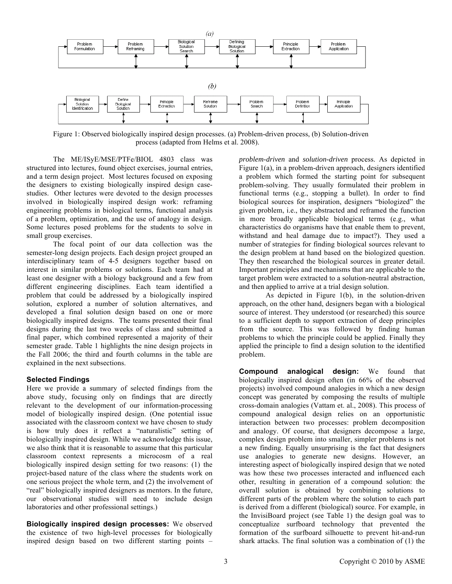

Figure 1: Observed biologically inspired design processes. (a) Problem-driven process, (b) Solution-driven process (adapted from Helms et al. 2008).

The ME/ISyE/MSE/PTFe/BIOL 4803 class was structured into lectures, found object exercises, journal entries, and a term design project. Most lectures focused on exposing the designers to existing biologically inspired design casestudies. Other lectures were devoted to the design processes involved in biologically inspired design work: reframing engineering problems in biological terms, functional analysis of a problem, optimization, and the use of analogy in design. Some lectures posed problems for the students to solve in small group exercises.

The focal point of our data collection was the semester-long design projects. Each design project grouped an interdisciplinary team of 4-5 designers together based on interest in similar problems or solutions. Each team had at least one designer with a biology background and a few from different engineering disciplines. Each team identified a problem that could be addressed by a biologically inspired solution, explored a number of solution alternatives, and developed a final solution design based on one or more biologically inspired designs. The teams presented their final designs during the last two weeks of class and submitted a final paper, which combined represented a majority of their semester grade. Table 1 highlights the nine design projects in the Fall 2006; the third and fourth columns in the table are explained in the next subsections.

## **Selected Findings**

Here we provide a summary of selected findings from the above study, focusing only on findings that are directly relevant to the development of our information-processing model of biologically inspired design. (One potential issue associated with the classroom context we have chosen to study is how truly does it reflect a "naturalistic" setting of biologically inspired design. While we acknowledge this issue, we also think that it is reasonable to assume that this particular classroom context represents a microcosm of a real biologically inspired design setting for two reasons: (1) the project-based nature of the class where the students work on one serious project the whole term, and (2) the involvement of "real" biologically inspired designers as mentors. In the future, our observational studies will need to include design laboratories and other professional settings.)

**Biologically inspired design processes:** We observed the existence of two high-level processes for biologically inspired design based on two different starting points – *problem-driven* and *solution-driven* process. As depicted in Figure 1(a), in a problem-driven approach, designers identified a problem which formed the starting point for subsequent problem-solving. They usually formulated their problem in functional terms (e.g., stopping a bullet). In order to find biological sources for inspiration, designers "biologized" the given problem, i.e., they abstracted and reframed the function in more broadly applicable biological terms (e.g., what characteristics do organisms have that enable them to prevent, withstand and heal damage due to impact?). They used a number of strategies for finding biological sources relevant to the design problem at hand based on the biologized question. They then researched the biological sources in greater detail. Important principles and mechanisms that are applicable to the target problem were extracted to a solution-neutral abstraction, and then applied to arrive at a trial design solution.

As depicted in Figure 1(b), in the solution-driven approach, on the other hand, designers began with a biological source of interest. They understood (or researched) this source to a sufficient depth to support extraction of deep principles from the source. This was followed by finding human problems to which the principle could be applied. Finally they applied the principle to find a design solution to the identified problem.

**Compound analogical design:** We found that biologically inspired design often (in 66% of the observed projects) involved compound analogies in which a new design concept was generated by composing the results of multiple cross-domain analogies (Vattam et. al., 2008). This process of compound analogical design relies on an opportunistic interaction between two processes: problem decomposition and analogy. Of course, that designers decompose a large, complex design problem into smaller, simpler problems is not a new finding. Equally unsurprising is the fact that designers use analogies to generate new designs. However, an interesting aspect of biologically inspired design that we noted was how these two processes interacted and influenced each other, resulting in generation of a compound solution: the overall solution is obtained by combining solutions to different parts of the problem where the solution to each part is derived from a different (biological) source. For example, in the InvisiBoard project (see Table 1) the design goal was to conceptualize surfboard technology that prevented the formation of the surfboard silhouette to prevent hit-and-run shark attacks. The final solution was a combination of (1) the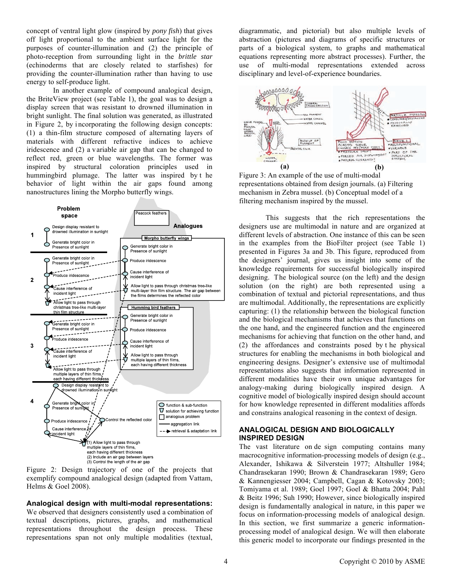concept of ventral light glow (inspired by *pony fish*) that gives off light proportional to the ambient surface light for the purposes of counter-illumination and (2) the principle of photo-reception from surrounding light in the *brittle star* (echinoderms that are closely related to starfishes) for providing the counter-illumination rather than having to use energy to self-produce light.

In another example of compound analogical design, the BriteView project (see Table 1), the goal was to design a display screen that was resistant to drowned illumination in bright sunlight. The final solution was generated, as illustrated in Figure 2, by i ncorporating the following design concepts: (1) a thin-film structure composed of alternating layers of materials with different refractive indices to achieve iridescence and (2) a variable air gap that can be changed to reflect red, green or blue wavelengths. The former was inspired by structural coloration principles used in hummingbird plumage. The latter was inspired by t he behavior of light within the air gaps found among nanostructures lining the Morpho butterfly wings.



Figure 2: Design trajectory of one of the projects that exemplify compound analogical design (adapted from Vattam, Helms & Goel 2008).

**Analogical design with multi-modal representations:**

We observed that designers consistently used a combination of textual descriptions, pictures, graphs, and mathematical representations throughout the design process. These representations span not only multiple modalities (textual,

diagrammatic, and pictorial) but also multiple levels of abstraction (pictures and diagrams of specific structures or parts of a biological system, to graphs and mathematical equations representing more abstract processes). Further, the use of multi-modal representations extended across disciplinary and level-of-experience boundaries.



Figure 3: An example of the use of multi-modal representations obtained from design journals. (a) Filtering mechanism in Zebra mussel. (b) Conceptual model of a filtering mechanism inspired by the mussel.

This suggests that the rich representations the designers use are multimodal in nature and are organized at different levels of abstraction. One instance of this can be seen in the examples from the BioFilter project (see Table 1) presented in Figures 3a and 3b. This figure, reproduced from the designers' journal, gives us insight into some of the knowledge requirements for successful biologically inspired designing. The biological source (on the left) and the design solution (on the right) are both represented using a combination of textual and pictorial representations, and thus are multimodal. Additionally, the representations are explicitly capturing: (1) the relationship between the biological function and the biological mechanisms that achieves that functions on the one hand, and the engineered function and the engineered mechanisms for achieving that function on the other hand, and (2) the affordances and constraints posed by t he physical structures for enabling the mechanisms in both biological and engineering designs. Designer's extensive use of multimodal representations also suggests that information represented in different modalities have their own unique advantages for analogy-making during biologically inspired design. A cognitive model of biologically inspired design should account for how knowledge represented in different modalities affords and constrains analogical reasoning in the context of design.

## **ANALOGICAL DESIGN AND BIOLOGICALLY INSPIRED DESIGN**

The vast literature on de sign computing contains many macrocognitive information-processing models of design (e.g., Alexander, Ishikawa & Silverstein 1977; Altshuller 1984; Chandrasekaran 1990; Brown & Chandrasekaran 1989; Gero & Kannengiesser 2004; Campbell, Cagan & Kotovsky 2003; Tomiyama et al. 1989; Goel 1997; Goel & Bhatta 2004; Pahl & Beitz 1996; Suh 1990; However, since biologically inspired design is fundamentally analogical in nature, in this paper we focus on information-processing models of analogical design. In this section, we first summarize a generic informationprocessing model of analogical design. We will then elaborate this generic model to incorporate our findings presented in the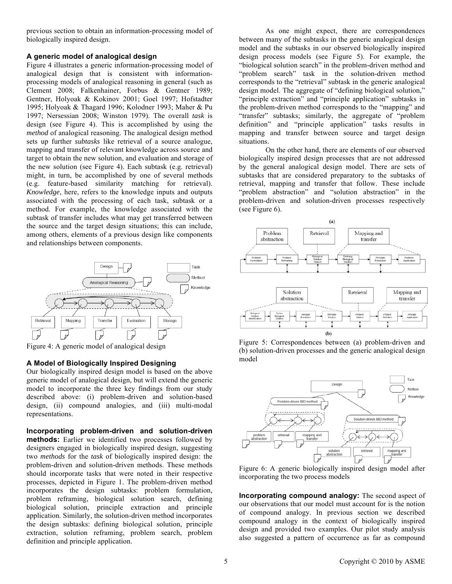previous section to obtain an information-processing model of biologically inspired design.

## **A generic model of analogical design**

Figure 4 illustrates a generic information-processing model of analogical design that is consistent with informationprocessing models of analogical reasoning in general (such as Clement 2008; Falkenhainer, Forbus & Gentner 1989; Gentner, Holyoak & Kokinov 2001; Goel 1997; Hofstadter 1995; Holyoak & Thagard 1996; Kolodner 1993; Maher & Pu 1997; Nersessian 2008; Winston 1979). The overall *task* is design (see Figure 4). This is accomplished by using the *method* of analogical reasoning. The analogical design method sets up further *subtasks* like retrieval of a source analogue, mapping and transfer of relevant knowledge across source and target to obtain the new solution, and evaluation and storage of the new solution (see Figure 4). Each subtask (e.g. retrieval) might, in turn, be accomplished by one of several methods (e.g. feature-based similarity matching for retrieval). *Knowledge*, here, refers to the knowledge inputs and outputs associated with the processing of each task, subtask or a method. For example, the knowledge associated with the subtask of transfer includes what may get transferred between the source and the target design situations; this can include, among others, elements of a previous design like components and relationships between components.



Figure 4: A generic model of analogical design

## **A Model of Biologically Inspired Designing**

Our biologically inspired design model is based on the above generic model of analogical design, but will extend the generic model to incorporate the three key findings from our study described above: (i) problem-driven and solution-based design, (ii) compound analogies, and (iii) multi-modal representations.

**Incorporating problem-driven and solution-driven methods:** Earlier we identified two processes followed by designers engaged in biologically inspired design, suggesting two *methods* for the *task* of biologically inspired design: the problem-driven and solution-driven methods. These methods should incorporate tasks that were noted in their respective processes, depicted in Figure 1. The problem-driven method incorporates the design subtasks: problem formulation, problem reframing, biological solution search, defining biological solution, principle extraction and principle application. Similarly, the solution-driven method incorporates the design subtasks: defining biological solution, principle extraction, solution reframing, problem search, problem definition and principle application.

As one might expect, there are correspondences between many of the subtasks in the generic analogical design model and the subtasks in our observed biologically inspired design process models (see Figure 5). For example, the "biological solution search" in the problem-driven method and "problem search" task in the solution-driven method corresponds to the "retrieval" subtask in the generic analogical design model. The aggregate of "defining biological solution," "principle extraction" and "principle application" subtasks in the problem-driven method corresponds to the "mapping" and "transfer" subtasks; similarly, the aggregate of "problem definition" and "principle application" tasks results in mapping and transfer between source and target design situations.

On the other hand, there are elements of our observed biologically inspired design processes that are not addressed by the general analogical design model. There are sets of subtasks that are considered preparatory to the subtasks of retrieval, mapping and transfer that follow. These include "problem abstraction" and "solution abstraction" in the problem-driven and solution-driven processes respectively (see Figure 6).



Figure 5: Correspondences between (a) problem-driven and (b) solution-driven processes and the generic analogical design model



Figure 6: A generic biologically inspired design model after incorporating the two process models

**Incorporating compound analogy:** The second aspect of our observations that our model must account for is the notion of compound analogy. In previous section we described compound analogy in the context of biologically inspired design and provided two examples. Our pilot study analysis also suggested a pattern of occurrence as far as compound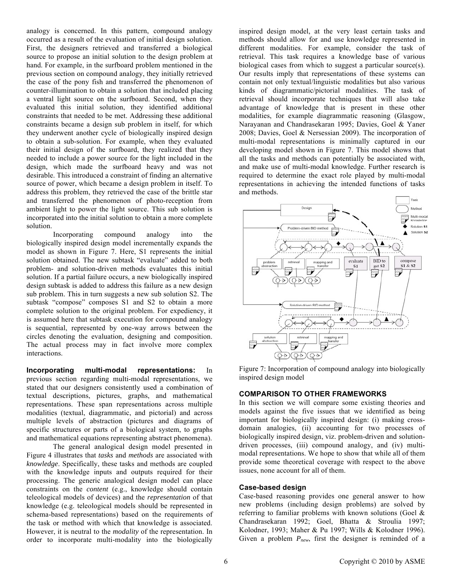analogy is concerned. In this pattern, compound analogy occurred as a result of the evaluation of initial design solution. First, the designers retrieved and transferred a biological source to propose an initial solution to the design problem at hand. For example, in the surfboard problem mentioned in the previous section on compound analogy, they initially retrieved the case of the pony fish and transferred the phenomenon of counter-illumination to obtain a solution that included placing a ventral light source on the surfboard. Second, when they evaluated this initial solution, they identified additional constraints that needed to be met. Addressing these additional constraints became a design sub problem in itself, for which they underwent another cycle of biologically inspired design to obtain a sub-solution. For example, when they evaluated their initial design of the surfboard, they realized that they needed to include a power source for the light included in the design, which made the surfboard heavy and was not desirable. This introduced a constraint of finding an alternative source of power, which became a design problem in itself. To address this problem, they retrieved the case of the brittle star and transferred the phenomenon of photo-reception from ambient light to power the light source. This sub solution is incorporated into the initial solution to obtain a more complete solution.

Incorporating compound analogy into the biologically inspired design model incrementally expands the model as shown in Figure 7. Here, S1 represents the initial solution obtained. The new subtask "evaluate" added to both problem- and solution-driven methods evaluates this initial solution. If a partial failure occurs, a new biologically inspired design subtask is added to address this failure as a new design sub problem. This in turn suggests a new sub solution S2. The subtask "compose" composes S1 and S2 to obtain a more complete solution to the original problem. For expediency, it is assumed here that subtask execution for compound analogy is sequential, represented by one-way arrows between the circles denoting the evaluation, designing and composition. The actual process may in fact involve more complex interactions.

**Incorporating multi-modal representations:** In previous section regarding multi-modal representations, we stated that our designers consistently used a combination of textual descriptions, pictures, graphs, and mathematical representations. These span representations across multiple modalities (textual, diagrammatic, and pictorial) and across multiple levels of abstraction (pictures and diagrams of specific structures or parts of a biological system, to graphs and mathematical equations representing abstract phenomena).

The general analogical design model presented in Figure 4 illustrates that *tasks* and *methods* are associated with *knowledge*. Specifically, these tasks and methods are coupled with the knowledge inputs and outputs required for their processing. The generic analogical design model can place constraints on the *content* (e.g., knowledge should contain teleological models of devices) and the *representation* of that knowledge (e.g. teleological models should be represented in schema-based representations) based on the requirements of the task or method with which that knowledge is associated. However, it is neutral to the *modality* of the representation. In order to incorporate multi-modality into the biologically

inspired design model, at the very least certain tasks and methods should allow for and use knowledge represented in different modalities. For example, consider the task of retrieval. This task requires a knowledge base of various biological cases from which to suggest a particular source(s). Our results imply that representations of these systems can contain not only textual/linguistic modalities but also various kinds of diagrammatic/pictorial modalities. The task of retrieval should incorporate techniques that will also take advantage of knowledge that is present in these other modalities, for example diagrammatic reasoning (Glasgow, Narayanan and Chandrasekaran 1995; Davies, Goel & Yaner 2008; Davies, Goel & Nersessian 2009). The incorporation of multi-modal representations is minimally captured in our developing model shown in Figure 7. This model shows that all the tasks and methods can potentially be associated with, and make use of multi-modal knowledge. Further research is required to determine the exact role played by multi-modal representations in achieving the intended functions of tasks and methods.



Figure 7: Incorporation of compound analogy into biologically inspired design model

## **COMPARISON TO OTHER FRAMEWORKS**

In this section we will compare some existing theories and models against the five issues that we identified as being important for biologically inspired design: (i) making crossdomain analogies, (ii) accounting for two processes of biologically inspired design, viz. problem-driven and solutiondriven processes, (iii) compound analogy, and (iv) multimodal representations. We hope to show that while all of them provide some theoretical coverage with respect to the above issues, none account for all of them.

## **Case-based design**

Case-based reasoning provides one general answer to how new problems (including design problems) are solved by referring to familiar problems with known solutions (Goel & Chandrasekaran 1992; Goel, Bhatta & Stroulia 1997; Kolodner, 1993; Maher & Pu 1997; Wills & Kolodner 1996). Given a problem *Pnew*, first the designer is reminded of a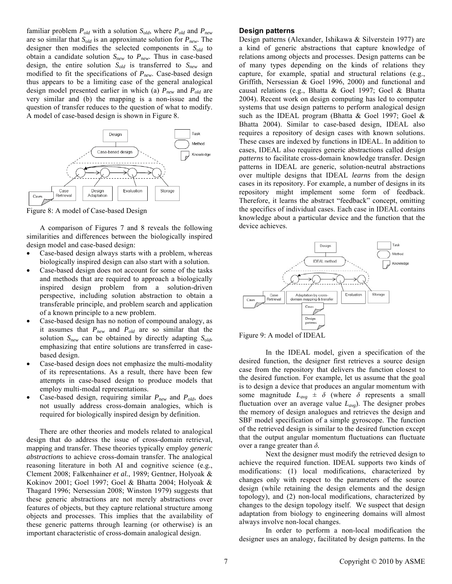familiar problem *Pold* with a solution *Sold*, where *Pold* and *Pnew* are so similar that *Sold* is an approximate solution for *Pnew*. The designer then modifies the selected components in *Sold* to obtain a candidate solution  $S_{new}$  to  $P_{new}$ . Thus in case-based design, the entire solution  $S_{old}$  is transferred to  $S_{new}$  and modified to fit the specifications of *Pnew*. Case-based design thus appears to be a limiting case of the general analogical design model presented earlier in which (a) *Pnew* and *Pold* are very similar and (b) the mapping is a non-issue and the question of transfer reduces to the question of what to modify. A model of case-based design is shown in Figure 8.



Figure 8: A model of Case-based Design

A comparison of Figures 7 and 8 reveals the following similarities and differences between the biologically inspired design model and case-based design:

- Case-based design always starts with a problem, whereas biologically inspired design can also start with a solution.
- Case-based design does not account for some of the tasks and methods that are required to approach a biologically inspired design problem from a solution-driven perspective, including solution abstraction to obtain a transferable principle, and problem search and application of a known principle to a new problem.
- Case-based design has no notion of compound analogy, as it assumes that *Pnew* and *Pold* are so similar that the solution *Snew* can be obtained by directly adapting *Sold*, emphasizing that entire solutions are transferred in casebased design.
- Case-based design does not emphasize the multi-modality of its representations. As a result, there have been few attempts in case-based design to produce models that employ multi-modal representations.
- Case-based design, requiring similar *Pnew* and *Pold*, does not usually address cross-domain analogies, which is required for biologically inspired design by definition.

There are other theories and models related to analogical design that do address the issue of cross-domain retrieval, mapping and transfer. These theories typically employ *generic abstractions* to achieve cross-domain transfer. The analogical reasoning literature in both AI and cognitive science (e.g., Clement 2008; Falkenhainer *et al.*, 1989; Gentner, Holyoak & Kokinov 2001; Goel 1997; Goel & Bhatta 2004; Holyoak & Thagard 1996; Nersessian 2008; Winston 1979) suggests that these generic abstractions are not merely abstractions over features of objects, but they capture relational structure among objects and processes. This implies that the availability of these generic patterns through learning (or otherwise) is an important characteristic of cross-domain analogical design.

#### **Design patterns**

Design patterns (Alexander, Ishikawa & Silverstein 1977) are a kind of generic abstractions that capture knowledge of relations among objects and processes. Design patterns can be of many types depending on the kinds of relations they capture, for example, spatial and structural relations (e.g., Griffith, Nersessian & Goel 1996, 2000) and functional and causal relations (e.g., Bhatta & Goel 1997; Goel & Bhatta 2004). Recent work on design computing has led to computer systems that use design patterns to perform analogical design such as the IDEAL program (Bhatta & Goel 1997; Goel & Bhatta 2004). Similar to case-based design, IDEAL also requires a repository of design cases with known solutions. These cases are indexed by functions in IDEAL. In addition to cases, IDEAL also requires generic abstractions called *design patterns* to facilitate cross-domain knowledge transfer. Design patterns in IDEAL are generic, solution-neutral abstractions over multiple designs that IDEAL *learns* from the design cases in its repository. For example, a number of designs in its repository might implement some form of feedback. Therefore, it learns the abstract "feedback" concept, omitting the specifics of individual cases. Each case in IDEAL contains knowledge about a particular device and the function that the device achieves.





In the IDEAL model, given a specification of the desired function, the designer first retrieves a source design case from the repository that delivers the function closest to the desired function. For example, let us assume that the goal is to design a device that produces an angular momentum with some magnitude  $L_{avg} \pm \delta$  (where  $\delta$  represents a small fluctuation over an average value *Lavg*). The designer probes the memory of design analogues and retrieves the design and SBF model specification of a simple gyroscope. The function of the retrieved design is similar to the desired function except that the output angular momentum fluctuations can fluctuate over a range greater than *δ.*

Next the designer must modify the retrieved design to achieve the required function. IDEAL supports two kinds of modifications: (1) local modifications, characterized by changes only with respect to the parameters of the source design (while retaining the design elements and the design topology), and (2) non-local modifications, characterized by changes to the design topology itself. We suspect that design adaptation from biology to engineering domains will almost always involve non-local changes.

In order to perform a non-local modification the designer uses an analogy, facilitated by design patterns. In the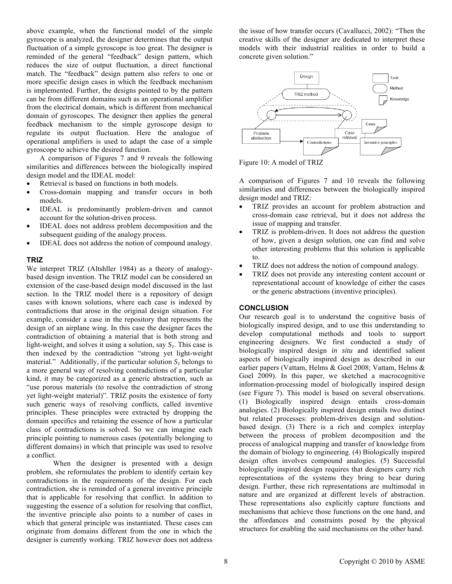above example, when the functional model of the simple gyroscope is analyzed, the designer determines that the output fluctuation of a simple gyroscope is too great. The designer is reminded of the general "feedback" design pattern, which reduces the size of output fluctuation, a direct functional match. The "feedback" design pattern also refers to one or more specific design cases in which the feedback mechanism is implemented. Further, the designs pointed to by the pattern can be from different domains such as an operational amplifier from the electrical domain, which is different from mechanical domain of gyroscopes. The designer then applies the general feedback mechanism to the simple gyroscope design to regulate its output fluctuation. Here the analogue of operational amplifiers is used to adapt the case of a simple gyroscope to achieve the desired function.

A comparison of Figures 7 and 9 reveals the following similarities and differences between the biologically inspired design model and the IDEAL model:

- Retrieval is based on functions in both models.
- Cross-domain mapping and transfer occurs in both models.
- IDEAL is predominantly problem-driven and cannot account for the solution-driven process.
- IDEAL does not address problem decomposition and the subsequent guiding of the analogy process.
- IDEAL does not address the notion of compound analogy.

## **TRIZ**

We interpret TRIZ (Altshller 1984) as a theory of analogybased design invention. The TRIZ model can be considered an extension of the case-based design model discussed in the last section. In the TRIZ model there is a repository of design cases with known solutions, where each case is indexed by contradictions that arose in the original design situation. For example, consider a case in the repository that represents the design of an airplane wing. In this case the designer faces the contradiction of obtaining a material that is both strong and light-weight, and solves it using a solution, say  $S<sub>1</sub>$ . This case is then indexed by the contradiction "strong yet light-weight material." Additionally, if the particular solution  $S_l$  belongs to a more general way of resolving contradictions of a particular kind, it may be categorized as a generic abstraction, such as "use porous materials (to resolve the contradiction of strong yet light-weight material)". TRIZ posits the existence of forty such generic ways of resolving conflicts, called inventive principles. These principles were extracted by dropping the domain specifics and retaining the essence of how a particular class of contradictions is solved. So we can imagine each principle pointing to numerous cases (potentially belonging to different domains) in which that principle was used to resolve a conflict.

When the designer is presented with a design problem, she reformulates the problem to identify certain key contradictions in the requirements of the design. For each contradiction, she is reminded of a general inventive principle that is applicable for resolving that conflict. In addition to suggesting the essence of a solution for resolving that conflict, the inventive principle also points to a number of cases in which that general principle was instantiated. These cases can originate from domains different from the one in which the designer is currently working. TRIZ however does not address

the issue of how transfer occurs (Cavallucci, 2002): "Then the creative skills of the designer are dedicated to interpret these models with their industrial realities in order to build a concrete given solution."



Figure 10: A model of TRIZ

A comparison of Figures 7 and 10 reveals the following similarities and differences between the biologically inspired design model and TRIZ:

- TRIZ provides an account for problem abstraction and cross-domain case retrieval, but it does not address the issue of mapping and transfer.
- TRIZ is problem-driven. It does not address the question of how, given a design solution, one can find and solve other interesting problems that this solution is applicable to.
- TRIZ does not address the notion of compound analogy.
- TRIZ does not provide any interesting content account or representational account of knowledge of either the cases or the generic abstractions (inventive principles).

## **CONCLUSION**

Our research goal is to understand the cognitive basis of biologically inspired design, and to use this understanding to develop computational methods and tools to support engineering designers. We first conducted a study of biologically inspired design *in situ* and identified salient aspects of biologically inspired design as described in our earlier papers (Vattam, Helms & Goel 2008; Vattam, Helms & Goel 2009). In this paper, we sketched a macrocognitive information-processing model of biologically inspired design (see Figure 7). This model is based on several observations. (1) Biologically inspired design entails cross-domain analogies. (2) Biologically inspired design entails two distinct but related processes: problem-driven design and solutionbased design. (3) There is a rich and complex interplay between the process of problem decomposition and the process of analogical mapping and transfer of knowledge from the domain of biology to engineering. (4) Biologically inspired design often involves compound analogies. (5) Successful biologically inspired design requires that designers carry rich representations of the systems they bring to bear during design. Further, these rich representations are multimodal in nature and are organized at different levels of abstraction. These representations also explicitly capture functions and mechanisms that achieve those functions on the one hand, and the affordances and constraints posed by the physical structures for enabling the said mechanisms on the other hand.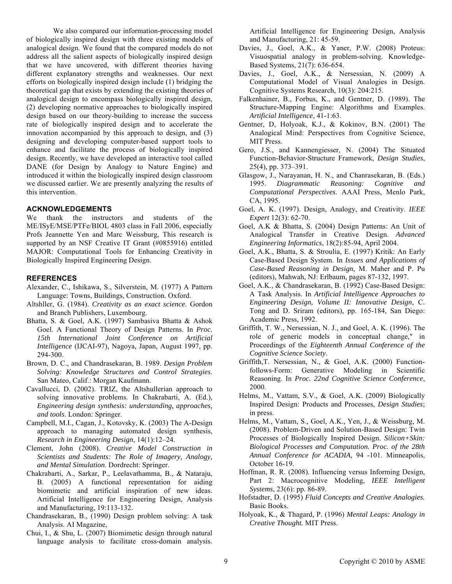We also compared our information-processing model of biologically inspired design with three existing models of analogical design. We found that the compared models do not address all the salient aspects of biologically inspired design that we have uncovered, with different theories having different explanatory strengths and weaknesses. Our next efforts on biologically inspired design include (1) bridging the theoretical gap that exists by extending the existing theories of analogical design to encompass biologically inspired design, (2) developing normative approaches to biologically inspired design based on our theory-building to increase the success rate of biologically inspired design and to accelerate the innovation accompanied by this approach to design, and (3) designing and developing computer-based support tools to enhance and facilitate the process of biologically inspired design. Recently, we have developed an interactive tool called DANE (for Design by Analogy to Nature Engine) and introduced it within the biologically inspired design classroom we discussed earlier. We are presently analyzing the results of this intervention.

## **ACKNOWLEDGEMENTS**

We thank the instructors and students of the ME/ISyE/MSE/PTFe/BIOL 4803 class in Fall 2006, especially Profs Jeannette Yen and Marc Weissburg, This research is supported by an NSF Creative IT Grant (#0855916) entitled MAJOR: Computational Tools for Enhancing Creativity in Biologically Inspired Engineering Design.

## **REFERENCES**

- Alexander, C., Ishikawa, S., Silverstein, M. (1977) A Pattern Language: Towns, Buildings, Construction. Oxford.
- Altshller, G. (1984). *Creativity as an exact science*. Gordon and Branch Publishers, Luxembourg.
- Bhatta, S. & Goel, A.K. (1997) Sambasiva Bhatta & Ashok Goel. A Functional Theory of Design Patterns. In *Proc. 15th International Joint Conference on Artificial Intelligence* (IJCAI-97), Nagoya, Japan, August 1997, pp. 294-300.
- Brown, D. C., and Chandrasekaran, B. 1989. *Design Problem Solving: Knowledge Structures and Control Strategies*. San Mateo, Calif.: Morgan Kaufmann.
- Cavallucci, D. (2002). TRIZ, the Altshullerian approach to solving innovative problems. In Chakrabarti, A. (Ed.), *Engineering design synthesis: understanding, approaches, and tools*. London: Springer.
- Campbell, M.I., Cagan, J., Kotovsky, K. (2003) The A-Design approach to managing automated design synthesis, *Research in Engineering Design*, 14(1):12–24.
- Clement, John (2008). *Creative Model Construction in Scientists and Students: The Role of Imagery, Analogy, and Mental Simulation*. Dordrecht: Springer.
- Chakrabarti, A., Sarkar, P., Leelavathamma, B., & Nataraju, B. (2005) A functional representation for aiding biomimetic and artificial inspiration of new ideas. Artificial Intelligence for Engineering Design, Analysis and Manufacturing, 19:113-132.
- Chandrasekaran, B., (1990) Design problem solving: A task Analysis. AI Magazine,
- Chui, I., & Shu, L. (2007) Biomimetic design through natural language analysis to facilitate cross-domain analysis.

Artificial Intelligence for Engineering Design, Analysis and Manufacturing, 21: 45-59.

- Davies, J., Goel, A.K., & Yaner, P.W. (2008) Proteus: Visuospatial analogy in problem-solving. Knowledge-Based Systems, 21(7): 636-654.
- Davies, J., Goel, A.K., & Nersessian, N. (2009) A Computational Model of Visual Analogies in Design. Cognitive Systems Research, 10(3): 204:215.
- Falkenhainer, B., Forbus, K., and Gentner, D. (1989). The Structure-Mapping Engine: Algorithms and Examples. *Artificial Intelligence*, 41-1:63.
- Gentner, D, Holyoak, K.J., & Kokinov, B.N. (2001) The Analogical Mind: Perspectives from Cognitive Science, MIT Press.
- Gero, J.S., and Kannengiesser, N. (2004) The Situated Function-Behavior-Structure Framework, *Design Studies*, 25(4), pp. 373–391.
- Glasgow, J., Narayanan, H. N., and Chanrasekaran, B. (Eds.)<br>1995. Diagrammatic Reasoning: Cognitive and 1995. *Diagrammatic Reasoning: Cognitive and Computational Perspectives*. AAAI Press, Menlo Park, CA, 1995.
- Goel, A. K. (1997). Design, Analogy, and Creativity. *IEEE Expert* 12(3): 62-70.
- Goel, A.K & Bhatta, S. (2004) Design Patterns: An Unit of Analogical Transfer in Creative Design. *Advanced Engineering Informatics*, 18(2):85-94, April 2004.
- Goel, A.K., Bhatta, S. & Stroulia, E. (1997) Kritik: An Early Case-Based Design System. In *Issues and Applications of Case-Based Reasoning in Design*, M. Maher and P. Pu (editors), Mahwah, NJ: Erlbaum, pages 87-132, 1997.
- Goel, A.K., & Chandrasekaran, B. (1992) Case-Based Design: A Task Analysis. In *Artificial Intelligence Approaches to Engineering Design, Volume II: Innovative Design*, C. Tong and D. Sriram (editors), pp. 165-184, San Diego: Academic Press, 1992.
- Griffith, T. W., Nersessian, N. J., and Goel, A. K. (1996). The role of generic models in conceptual change," in Proceedings of the *Eighteenth Annual Conference of the Cognitive Science Society*.
- Griffith,T. Nersessian, N., & Goel, A.K. (2000) Functionfollows-Form: Generative Modeling in Scientific Reasoning. In *Proc. 22nd Cognitive Science Conference*, 2000.
- Helms, M., Vattam, S.V., & Goel, A.K. (2009) Biologically Inspired Design: Products and Processes, *Design Studies*; in press.
- Helms, M., Vattam, S., Goel, A.K., Yen, J., & Weissburg, M. (2008). Problem-Driven and Solution-Based Design: Twin Processes of Biologically Inspired Design. *Silicon+Skin: Biological Processes and Computation. Proc. of the 28th Annual Conference for ACADIA,* 94 -101. Minneapolis, October 16-19.
- Hoffman, R. R. (2008). Influencing versus Informing Design, Part 2: Macrocognitive Modeling, *IEEE Intelligent Systems*, 23(6): pp. 86-89.
- Hofstadter, D. (1995) *Fluid Concepts and Creative Analogies.*  Basic Books.
- Holyoak, K., & Thagard, P. (1996) *Mental Leaps: Analogy in Creative Thought.* MIT Press.